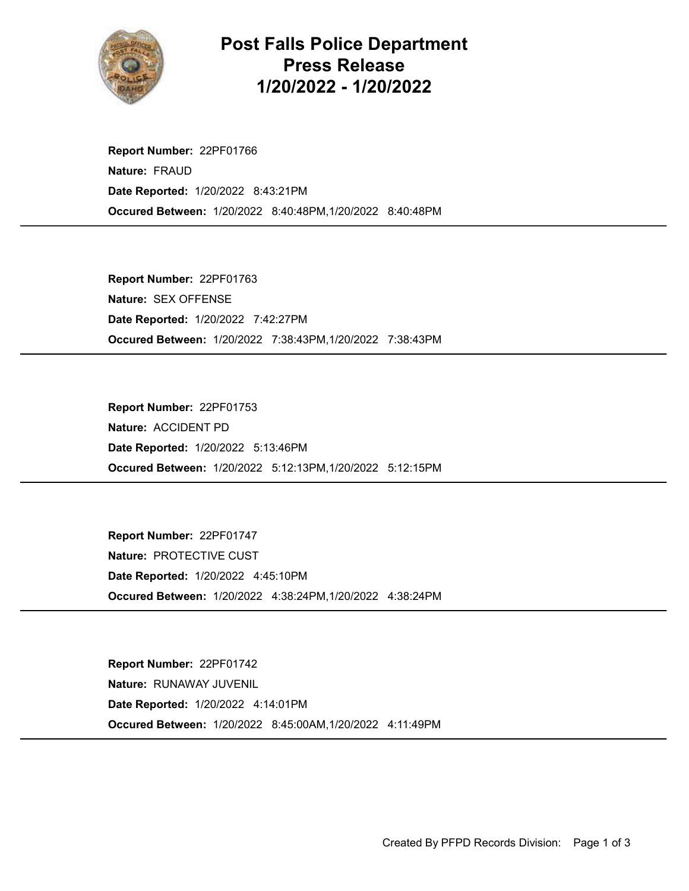

Post Falls Police Department Press Release 1/20/2022 - 1/20/2022

Occured Between: 1/20/2022 8:40:48PM,1/20/2022 8:40:48PM Report Number: 22PF01766 Nature: FRAUD Date Reported: 1/20/2022 8:43:21PM

Occured Between: 1/20/2022 7:38:43PM,1/20/2022 7:38:43PM Report Number: 22PF01763 Nature: SEX OFFENSE Date Reported: 1/20/2022 7:42:27PM

Occured Between: 1/20/2022 5:12:13PM,1/20/2022 5:12:15PM Report Number: 22PF01753 Nature: ACCIDENT PD Date Reported: 1/20/2022 5:13:46PM

Occured Between: 1/20/2022 4:38:24PM,1/20/2022 4:38:24PM Report Number: 22PF01747 Nature: PROTECTIVE CUST Date Reported: 1/20/2022 4:45:10PM

Occured Between: 1/20/2022 8:45:00AM,1/20/2022 4:11:49PM Report Number: 22PF01742 Nature: RUNAWAY JUVENIL Date Reported: 1/20/2022 4:14:01PM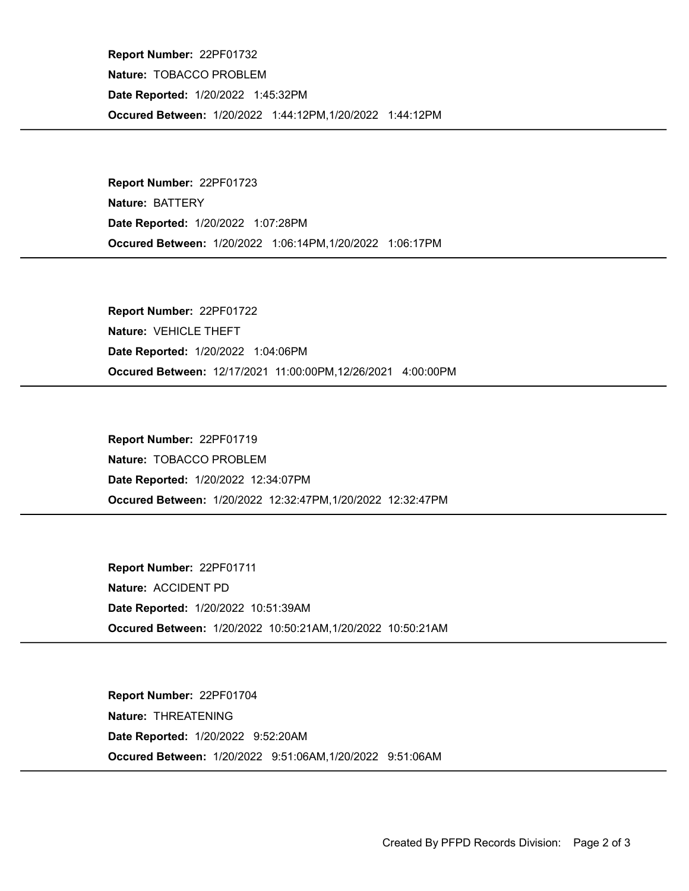Occured Between: 1/20/2022 1:44:12PM,1/20/2022 1:44:12PM Report Number: 22PF01732 Nature: TOBACCO PROBLEM Date Reported: 1/20/2022 1:45:32PM

Occured Between: 1/20/2022 1:06:14PM,1/20/2022 1:06:17PM Report Number: 22PF01723 Nature: BATTERY Date Reported: 1/20/2022 1:07:28PM

Occured Between: 12/17/2021 11:00:00PM,12/26/2021 4:00:00PM Report Number: 22PF01722 Nature: VEHICLE THEFT Date Reported: 1/20/2022 1:04:06PM

Occured Between: 1/20/2022 12:32:47PM,1/20/2022 12:32:47PM Report Number: 22PF01719 Nature: TOBACCO PROBLEM Date Reported: 1/20/2022 12:34:07PM

Occured Between: 1/20/2022 10:50:21AM,1/20/2022 10:50:21AM Report Number: 22PF01711 Nature: ACCIDENT PD Date Reported: 1/20/2022 10:51:39AM

Occured Between: 1/20/2022 9:51:06AM,1/20/2022 9:51:06AM Report Number: 22PF01704 Nature: THREATENING Date Reported: 1/20/2022 9:52:20AM